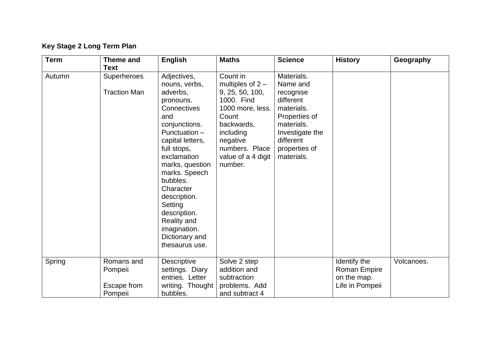## **Key Stage 2 Long Term Plan**

| <b>Term</b> | <b>Theme and</b><br><b>Text</b>                 | <b>English</b>                                                                                                                                                                                                                                                                                                                                    | <b>Maths</b>                                                                                                                                                                           | <b>Science</b>                                                                                                                                               | <b>History</b>                                                        | Geography  |
|-------------|-------------------------------------------------|---------------------------------------------------------------------------------------------------------------------------------------------------------------------------------------------------------------------------------------------------------------------------------------------------------------------------------------------------|----------------------------------------------------------------------------------------------------------------------------------------------------------------------------------------|--------------------------------------------------------------------------------------------------------------------------------------------------------------|-----------------------------------------------------------------------|------------|
| Autumn      | <b>Superheroes</b><br><b>Traction Man</b>       | Adjectives,<br>nouns, verbs,<br>adverbs,<br>pronouns.<br>Connectives<br>and<br>conjunctions.<br>Punctuation -<br>capital letters,<br>full stops,<br>exclamation<br>marks, question<br>marks. Speech<br>bubbles.<br>Character<br>description.<br>Setting<br>description.<br><b>Reality and</b><br>imagination.<br>Dictionary and<br>thesaurus use. | Count in<br>multiples of $2 -$<br>9, 25, 50, 100,<br>1000. Find<br>1000 more, less.<br>Count<br>backwards,<br>including<br>negative<br>numbers. Place<br>value of a 4 digit<br>number. | Materials.<br>Name and<br>recognise<br>different<br>materials.<br>Properties of<br>materials.<br>Investigate the<br>different<br>properties of<br>materials. |                                                                       |            |
| Spring      | Romans and<br>Pompeii<br>Escape from<br>Pompeii | Descriptive<br>settings. Diary<br>entries. Letter<br>writing. Thought<br>bubbles.                                                                                                                                                                                                                                                                 | Solve 2 step<br>addition and<br>subtraction<br>problems. Add<br>and subtract 4                                                                                                         |                                                                                                                                                              | Identify the<br><b>Roman Empire</b><br>on the map.<br>Life in Pompeii | Volcanoes. |